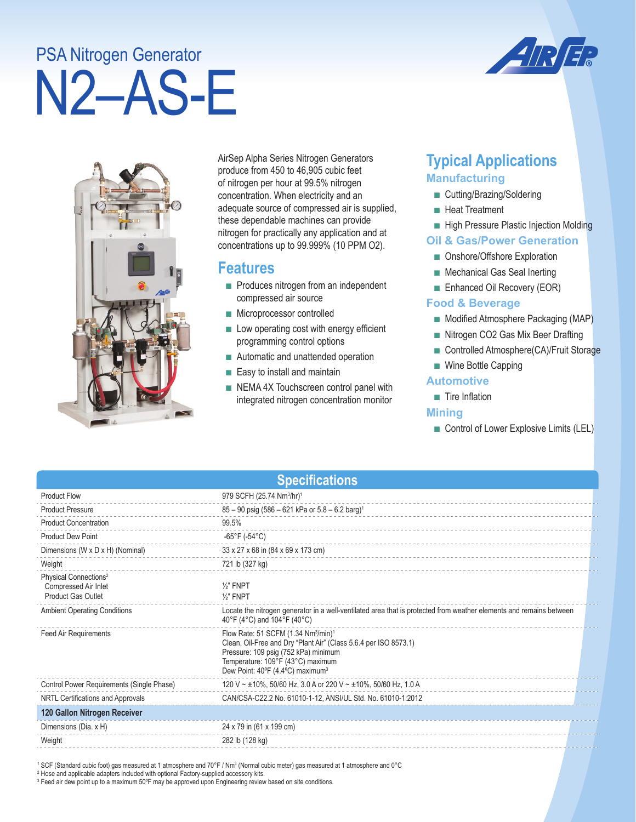# N2–AS-E PSA Nitrogen Generator





AirSep Alpha Series Nitrogen Generators produce from 450 to 46,905 cubic feet of nitrogen per hour at 99.5% nitrogen concentration. When electricity and an adequate source of compressed air is supplied, these dependable machines can provide nitrogen for practically any application and at concentrations up to 99.999% (10 PPM O2).

### **Features**

- Produces nitrogen from an independent compressed air source
- Microprocessor controlled
- Low operating cost with energy efficient programming control options
- Automatic and unattended operation
- Easy to install and maintain
- NEMA 4X Touchscreen control panel with integrated nitrogen concentration monitor

## **Typical Applications Manufacturing**

- Cutting/Brazing/Soldering
- Heat Treatment
- High Pressure Plastic Injection Molding

#### **Oil & Gas/Power Generation**

- Onshore/Offshore Exploration
- Mechanical Gas Seal Inerting
- Enhanced Oil Recovery (EOR)

#### **Food & Beverage**

- Modified Atmosphere Packaging (MAP)
- Nitrogen CO2 Gas Mix Beer Drafting
- Controlled Atmosphere(CA)/Fruit Storage
- Wine Bottle Capping

#### **Automotive**

■ Tire Inflation

#### **Mining**

■ Control of Lower Explosive Limits (LEL)

| <b>Specifications</b>                                                                  |                                                                                                                                                                                                                                                              |  |  |
|----------------------------------------------------------------------------------------|--------------------------------------------------------------------------------------------------------------------------------------------------------------------------------------------------------------------------------------------------------------|--|--|
| <b>Product Flow</b>                                                                    | 979 SCFH (25.74 Nm <sup>3</sup> /hr) <sup>1</sup>                                                                                                                                                                                                            |  |  |
| <b>Product Pressure</b>                                                                | 85 - 90 psig (586 - 621 kPa or 5.8 - 6.2 barg) <sup>1</sup>                                                                                                                                                                                                  |  |  |
| <b>Product Concentration</b>                                                           | 99.5%                                                                                                                                                                                                                                                        |  |  |
| <b>Product Dew Point</b>                                                               | -65°F (-54°C)                                                                                                                                                                                                                                                |  |  |
| Dimensions (W x D x H) (Nominal)                                                       | 33 x 27 x 68 in (84 x 69 x 173 cm)                                                                                                                                                                                                                           |  |  |
| Weight                                                                                 | 721 lb (327 kg)                                                                                                                                                                                                                                              |  |  |
| Physical Connections <sup>2</sup><br>Compressed Air Inlet<br><b>Product Gas Outlet</b> | $\frac{1}{2}$ " FNPT<br>$\frac{1}{2}$ " FNPT                                                                                                                                                                                                                 |  |  |
| <b>Ambient Operating Conditions</b>                                                    | Locate the nitrogen generator in a well-ventilated area that is protected from weather elements and remains between<br>40°F (4°C) and 104°F (40°C)                                                                                                           |  |  |
| Feed Air Requirements                                                                  | Flow Rate: 51 SCFM (1.34 Nm <sup>3</sup> /min) <sup>1</sup><br>Clean, Oil-Free and Dry "Plant Air" (Class 5.6.4 per ISO 8573.1)<br>Pressure: 109 psig (752 kPa) minimum<br>Temperature: 109°F (43°C) maximum<br>Dew Point: 40°F (4.4°C) maximum <sup>3</sup> |  |  |
| Control Power Requirements (Single Phase)                                              | 120 V ~ ±10%, 50/60 Hz, 3.0 A or 220 V ~ ±10%, 50/60 Hz, 1.0 A                                                                                                                                                                                               |  |  |
| NRTL Certifications and Approvals                                                      | CAN/CSA-C22.2 No. 61010-1-12, ANSI/UL Std. No. 61010-1:2012                                                                                                                                                                                                  |  |  |
| 120 Gallon Nitrogen Receiver                                                           |                                                                                                                                                                                                                                                              |  |  |
| Dimensions (Dia. x H)                                                                  | 24 x 79 in (61 x 199 cm)                                                                                                                                                                                                                                     |  |  |
| Weight                                                                                 | 282 lb (128 kg)                                                                                                                                                                                                                                              |  |  |

' SCF (Standard cubic foot) gas measured at 1 atmosphere and 70°F / Nm3 (Normal cubic meter) gas measured at 1 atmosphere and 0°C<br><sup>2</sup> Hose and applicable adapters included with optional Factory-supplied accessory kits.

3 Feed air dew point up to a maximum 50ºF may be approved upon Engineering review based on site conditions.